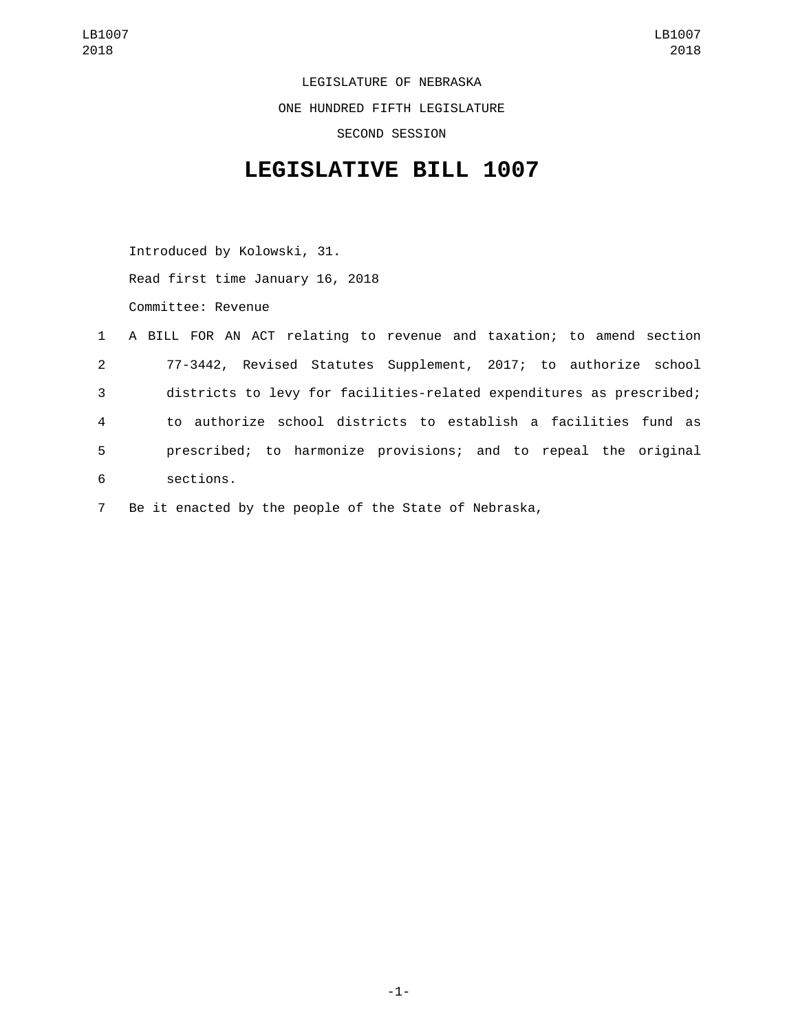LEGISLATURE OF NEBRASKA ONE HUNDRED FIFTH LEGISLATURE SECOND SESSION

## **LEGISLATIVE BILL 1007**

Introduced by Kolowski, 31. Read first time January 16, 2018 Committee: Revenue

|                | 1 A BILL FOR AN ACT relating to revenue and taxation; to amend section |
|----------------|------------------------------------------------------------------------|
| $2^{\circ}$    | 77-3442, Revised Statutes Supplement, 2017; to authorize school        |
| 3              | districts to levy for facilities-related expenditures as prescribed;   |
| $\overline{4}$ | to authorize school districts to establish a facilities fund as        |
| 5              | prescribed; to harmonize provisions; and to repeal the original        |
| 6              | sections.                                                              |
|                |                                                                        |

7 Be it enacted by the people of the State of Nebraska,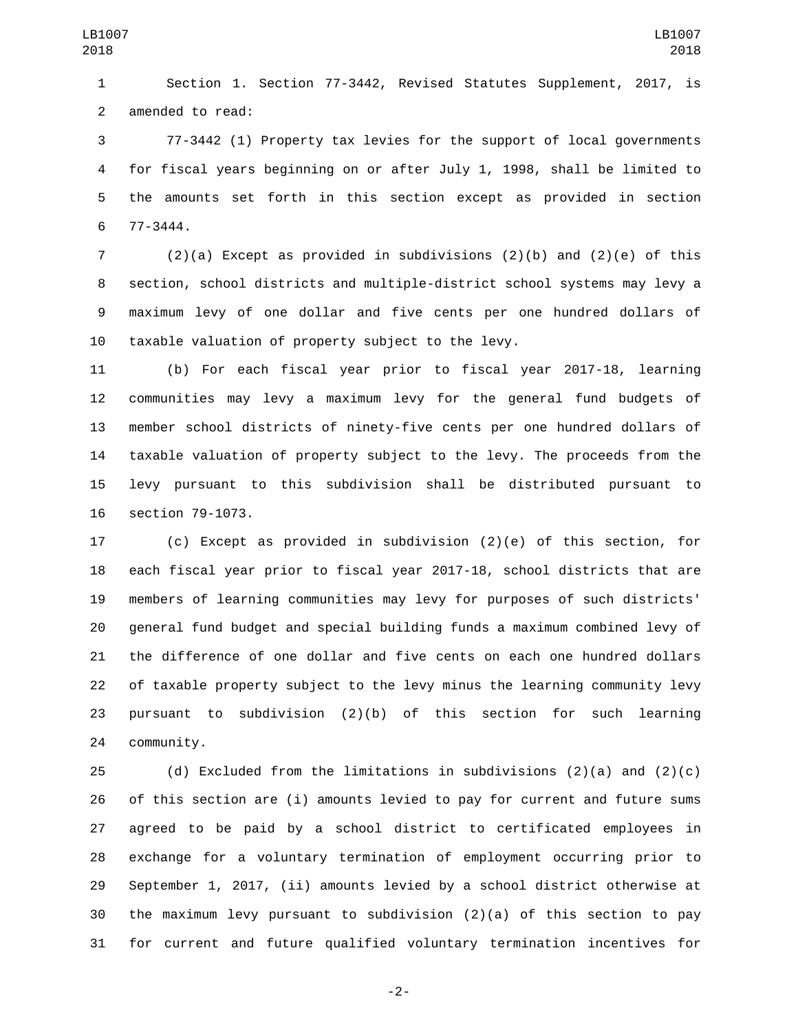Section 1. Section 77-3442, Revised Statutes Supplement, 2017, is 2 amended to read:

 77-3442 (1) Property tax levies for the support of local governments for fiscal years beginning on or after July 1, 1998, shall be limited to the amounts set forth in this section except as provided in section 77-3444.6

 (2)(a) Except as provided in subdivisions (2)(b) and (2)(e) of this section, school districts and multiple-district school systems may levy a maximum levy of one dollar and five cents per one hundred dollars of taxable valuation of property subject to the levy.

 (b) For each fiscal year prior to fiscal year 2017-18, learning communities may levy a maximum levy for the general fund budgets of member school districts of ninety-five cents per one hundred dollars of taxable valuation of property subject to the levy. The proceeds from the levy pursuant to this subdivision shall be distributed pursuant to 16 section 79-1073.

 (c) Except as provided in subdivision (2)(e) of this section, for each fiscal year prior to fiscal year 2017-18, school districts that are members of learning communities may levy for purposes of such districts' general fund budget and special building funds a maximum combined levy of the difference of one dollar and five cents on each one hundred dollars of taxable property subject to the levy minus the learning community levy pursuant to subdivision (2)(b) of this section for such learning 24 community.

25 (d) Excluded from the limitations in subdivisions  $(2)(a)$  and  $(2)(c)$  of this section are (i) amounts levied to pay for current and future sums agreed to be paid by a school district to certificated employees in exchange for a voluntary termination of employment occurring prior to September 1, 2017, (ii) amounts levied by a school district otherwise at the maximum levy pursuant to subdivision (2)(a) of this section to pay for current and future qualified voluntary termination incentives for

-2-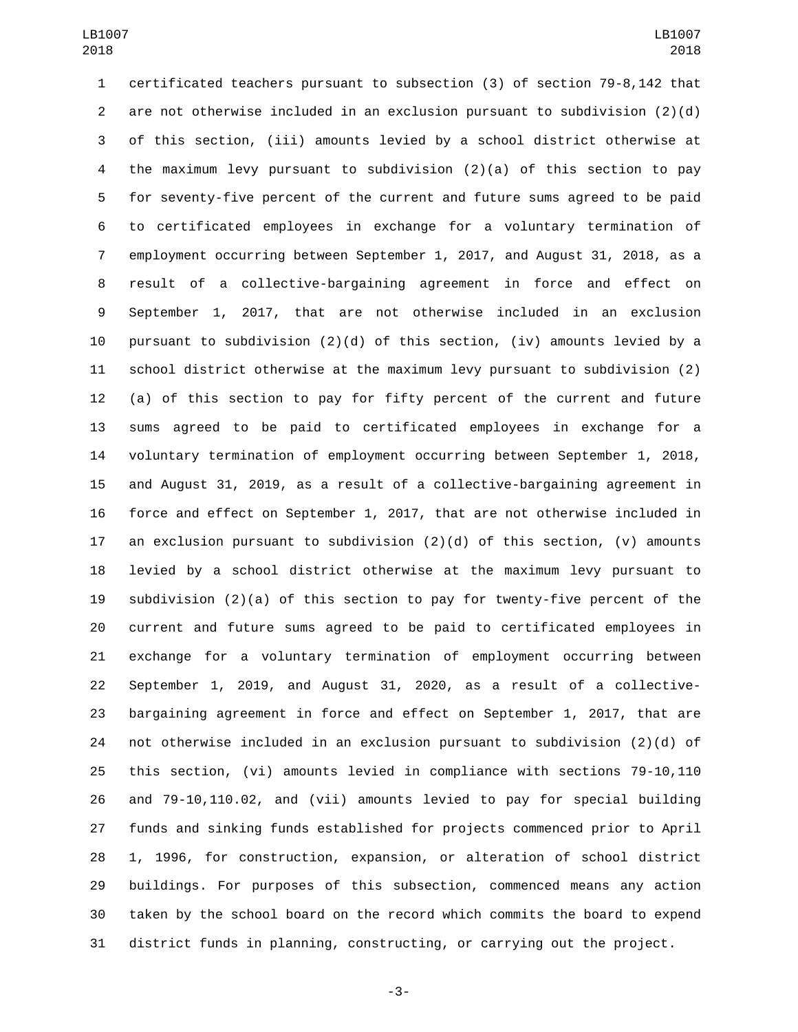certificated teachers pursuant to subsection (3) of section 79-8,142 that are not otherwise included in an exclusion pursuant to subdivision (2)(d) of this section, (iii) amounts levied by a school district otherwise at the maximum levy pursuant to subdivision (2)(a) of this section to pay for seventy-five percent of the current and future sums agreed to be paid to certificated employees in exchange for a voluntary termination of employment occurring between September 1, 2017, and August 31, 2018, as a result of a collective-bargaining agreement in force and effect on September 1, 2017, that are not otherwise included in an exclusion 10 pursuant to subdivision  $(2)(d)$  of this section, (iv) amounts levied by a school district otherwise at the maximum levy pursuant to subdivision (2) (a) of this section to pay for fifty percent of the current and future sums agreed to be paid to certificated employees in exchange for a voluntary termination of employment occurring between September 1, 2018, and August 31, 2019, as a result of a collective-bargaining agreement in force and effect on September 1, 2017, that are not otherwise included in 17 an exclusion pursuant to subdivision  $(2)(d)$  of this section,  $(v)$  amounts levied by a school district otherwise at the maximum levy pursuant to subdivision (2)(a) of this section to pay for twenty-five percent of the current and future sums agreed to be paid to certificated employees in exchange for a voluntary termination of employment occurring between September 1, 2019, and August 31, 2020, as a result of a collective- bargaining agreement in force and effect on September 1, 2017, that are not otherwise included in an exclusion pursuant to subdivision (2)(d) of this section, (vi) amounts levied in compliance with sections 79-10,110 and 79-10,110.02, and (vii) amounts levied to pay for special building funds and sinking funds established for projects commenced prior to April 1, 1996, for construction, expansion, or alteration of school district buildings. For purposes of this subsection, commenced means any action taken by the school board on the record which commits the board to expend district funds in planning, constructing, or carrying out the project.

-3-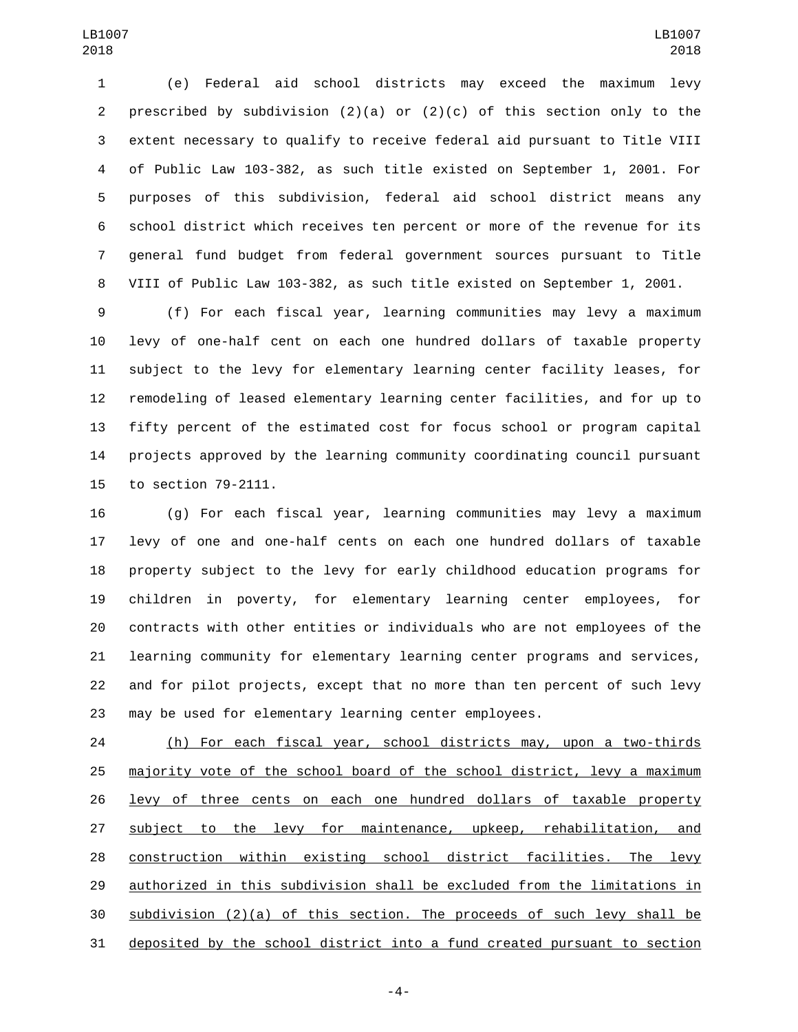(e) Federal aid school districts may exceed the maximum levy 2 prescribed by subdivision  $(2)(a)$  or  $(2)(c)$  of this section only to the extent necessary to qualify to receive federal aid pursuant to Title VIII of Public Law 103-382, as such title existed on September 1, 2001. For purposes of this subdivision, federal aid school district means any school district which receives ten percent or more of the revenue for its general fund budget from federal government sources pursuant to Title VIII of Public Law 103-382, as such title existed on September 1, 2001.

 (f) For each fiscal year, learning communities may levy a maximum levy of one-half cent on each one hundred dollars of taxable property subject to the levy for elementary learning center facility leases, for remodeling of leased elementary learning center facilities, and for up to fifty percent of the estimated cost for focus school or program capital projects approved by the learning community coordinating council pursuant 15 to section 79-2111.

 (g) For each fiscal year, learning communities may levy a maximum levy of one and one-half cents on each one hundred dollars of taxable property subject to the levy for early childhood education programs for children in poverty, for elementary learning center employees, for contracts with other entities or individuals who are not employees of the learning community for elementary learning center programs and services, and for pilot projects, except that no more than ten percent of such levy may be used for elementary learning center employees.

 (h) For each fiscal year, school districts may, upon a two-thirds majority vote of the school board of the school district, levy a maximum 26 levy of three cents on each one hundred dollars of taxable property subject to the levy for maintenance, upkeep, rehabilitation, and construction within existing school district facilities. The levy authorized in this subdivision shall be excluded from the limitations in subdivision (2)(a) of this section. The proceeds of such levy shall be deposited by the school district into a fund created pursuant to section

-4-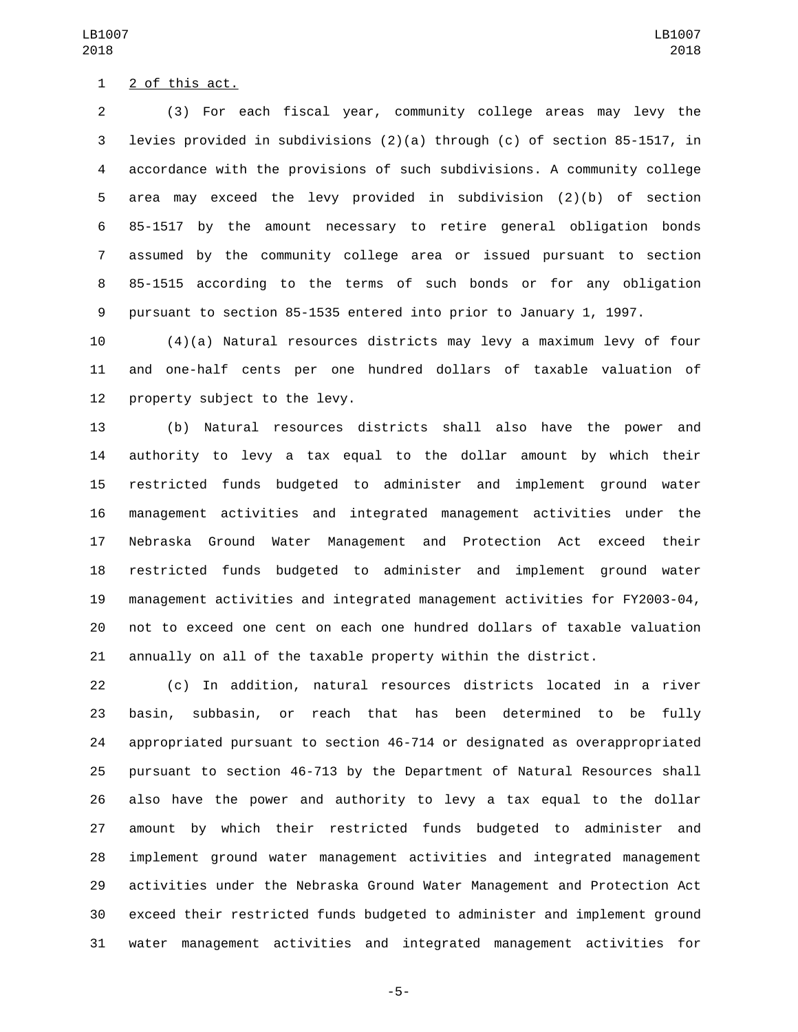1 2 of this act.

 (3) For each fiscal year, community college areas may levy the levies provided in subdivisions (2)(a) through (c) of section 85-1517, in accordance with the provisions of such subdivisions. A community college area may exceed the levy provided in subdivision (2)(b) of section 85-1517 by the amount necessary to retire general obligation bonds assumed by the community college area or issued pursuant to section 85-1515 according to the terms of such bonds or for any obligation pursuant to section 85-1535 entered into prior to January 1, 1997.

 (4)(a) Natural resources districts may levy a maximum levy of four and one-half cents per one hundred dollars of taxable valuation of 12 property subject to the levy.

 (b) Natural resources districts shall also have the power and authority to levy a tax equal to the dollar amount by which their restricted funds budgeted to administer and implement ground water management activities and integrated management activities under the Nebraska Ground Water Management and Protection Act exceed their restricted funds budgeted to administer and implement ground water management activities and integrated management activities for FY2003-04, not to exceed one cent on each one hundred dollars of taxable valuation annually on all of the taxable property within the district.

 (c) In addition, natural resources districts located in a river basin, subbasin, or reach that has been determined to be fully appropriated pursuant to section 46-714 or designated as overappropriated pursuant to section 46-713 by the Department of Natural Resources shall also have the power and authority to levy a tax equal to the dollar amount by which their restricted funds budgeted to administer and implement ground water management activities and integrated management activities under the Nebraska Ground Water Management and Protection Act exceed their restricted funds budgeted to administer and implement ground water management activities and integrated management activities for

-5-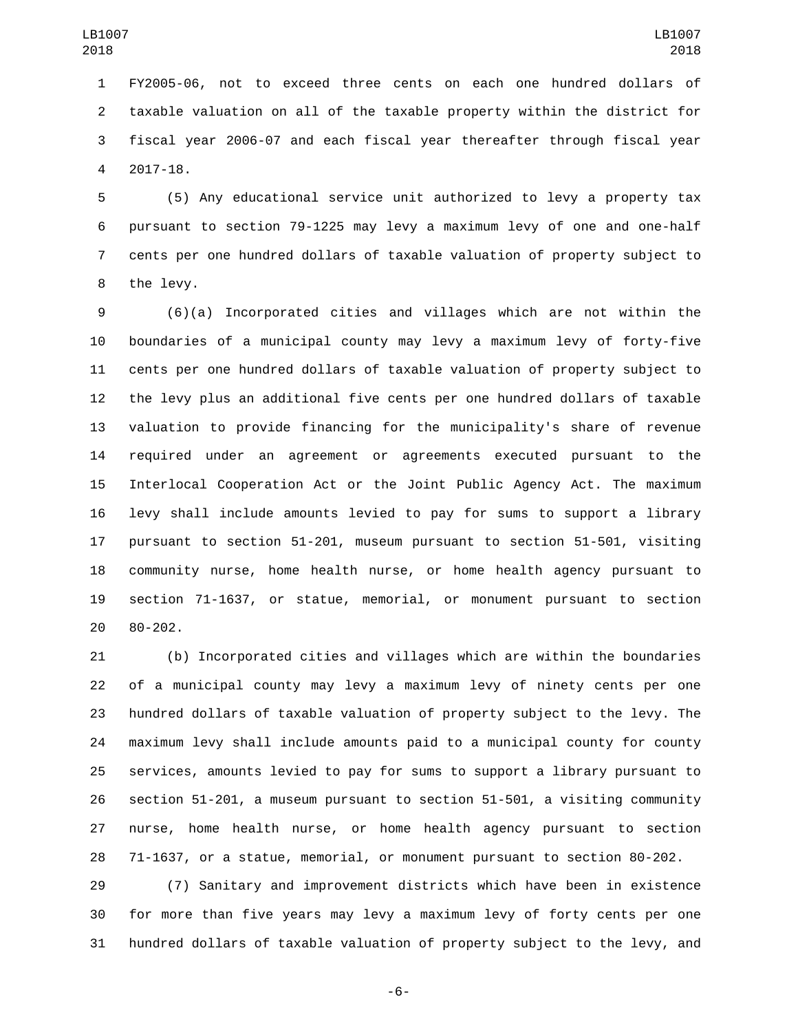FY2005-06, not to exceed three cents on each one hundred dollars of taxable valuation on all of the taxable property within the district for fiscal year 2006-07 and each fiscal year thereafter through fiscal year 2017-18.4

 (5) Any educational service unit authorized to levy a property tax pursuant to section 79-1225 may levy a maximum levy of one and one-half cents per one hundred dollars of taxable valuation of property subject to 8 the levy.

 (6)(a) Incorporated cities and villages which are not within the boundaries of a municipal county may levy a maximum levy of forty-five cents per one hundred dollars of taxable valuation of property subject to the levy plus an additional five cents per one hundred dollars of taxable valuation to provide financing for the municipality's share of revenue required under an agreement or agreements executed pursuant to the Interlocal Cooperation Act or the Joint Public Agency Act. The maximum levy shall include amounts levied to pay for sums to support a library pursuant to section 51-201, museum pursuant to section 51-501, visiting community nurse, home health nurse, or home health agency pursuant to section 71-1637, or statue, memorial, or monument pursuant to section 20 80-202.

 (b) Incorporated cities and villages which are within the boundaries of a municipal county may levy a maximum levy of ninety cents per one hundred dollars of taxable valuation of property subject to the levy. The maximum levy shall include amounts paid to a municipal county for county services, amounts levied to pay for sums to support a library pursuant to section 51-201, a museum pursuant to section 51-501, a visiting community nurse, home health nurse, or home health agency pursuant to section 71-1637, or a statue, memorial, or monument pursuant to section 80-202.

 (7) Sanitary and improvement districts which have been in existence for more than five years may levy a maximum levy of forty cents per one hundred dollars of taxable valuation of property subject to the levy, and

-6-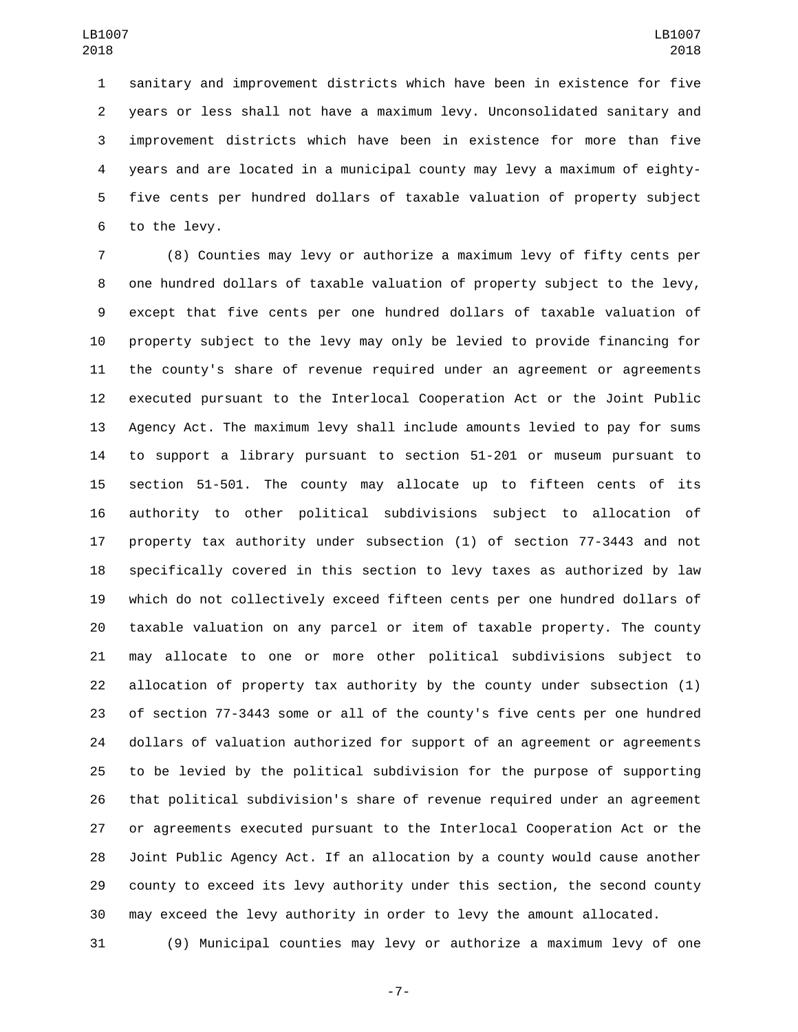sanitary and improvement districts which have been in existence for five years or less shall not have a maximum levy. Unconsolidated sanitary and improvement districts which have been in existence for more than five years and are located in a municipal county may levy a maximum of eighty- five cents per hundred dollars of taxable valuation of property subject 6 to the levy.

 (8) Counties may levy or authorize a maximum levy of fifty cents per one hundred dollars of taxable valuation of property subject to the levy, except that five cents per one hundred dollars of taxable valuation of property subject to the levy may only be levied to provide financing for the county's share of revenue required under an agreement or agreements executed pursuant to the Interlocal Cooperation Act or the Joint Public Agency Act. The maximum levy shall include amounts levied to pay for sums to support a library pursuant to section 51-201 or museum pursuant to section 51-501. The county may allocate up to fifteen cents of its authority to other political subdivisions subject to allocation of property tax authority under subsection (1) of section 77-3443 and not specifically covered in this section to levy taxes as authorized by law which do not collectively exceed fifteen cents per one hundred dollars of taxable valuation on any parcel or item of taxable property. The county may allocate to one or more other political subdivisions subject to allocation of property tax authority by the county under subsection (1) of section 77-3443 some or all of the county's five cents per one hundred dollars of valuation authorized for support of an agreement or agreements to be levied by the political subdivision for the purpose of supporting that political subdivision's share of revenue required under an agreement or agreements executed pursuant to the Interlocal Cooperation Act or the Joint Public Agency Act. If an allocation by a county would cause another county to exceed its levy authority under this section, the second county may exceed the levy authority in order to levy the amount allocated.

(9) Municipal counties may levy or authorize a maximum levy of one

-7-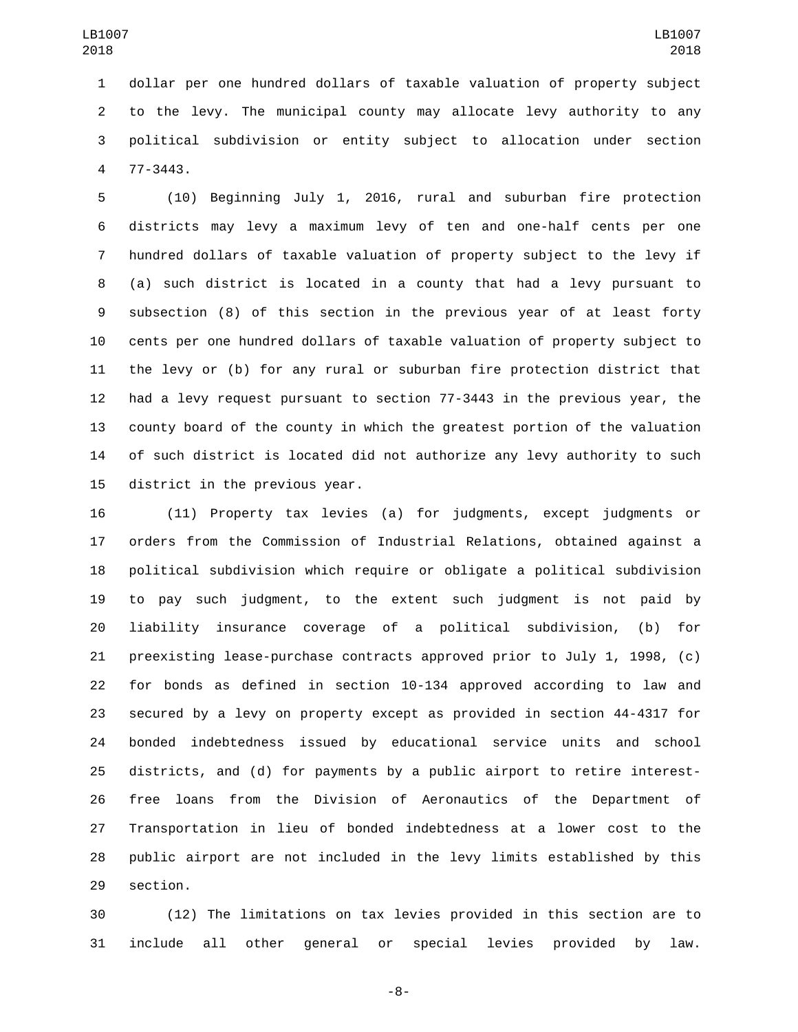dollar per one hundred dollars of taxable valuation of property subject to the levy. The municipal county may allocate levy authority to any political subdivision or entity subject to allocation under section 77-3443.4

 (10) Beginning July 1, 2016, rural and suburban fire protection districts may levy a maximum levy of ten and one-half cents per one hundred dollars of taxable valuation of property subject to the levy if (a) such district is located in a county that had a levy pursuant to subsection (8) of this section in the previous year of at least forty cents per one hundred dollars of taxable valuation of property subject to the levy or (b) for any rural or suburban fire protection district that had a levy request pursuant to section 77-3443 in the previous year, the county board of the county in which the greatest portion of the valuation of such district is located did not authorize any levy authority to such 15 district in the previous year.

 (11) Property tax levies (a) for judgments, except judgments or orders from the Commission of Industrial Relations, obtained against a political subdivision which require or obligate a political subdivision to pay such judgment, to the extent such judgment is not paid by liability insurance coverage of a political subdivision, (b) for preexisting lease-purchase contracts approved prior to July 1, 1998, (c) for bonds as defined in section 10-134 approved according to law and secured by a levy on property except as provided in section 44-4317 for bonded indebtedness issued by educational service units and school districts, and (d) for payments by a public airport to retire interest- free loans from the Division of Aeronautics of the Department of Transportation in lieu of bonded indebtedness at a lower cost to the public airport are not included in the levy limits established by this 29 section.

 (12) The limitations on tax levies provided in this section are to include all other general or special levies provided by law.

-8-